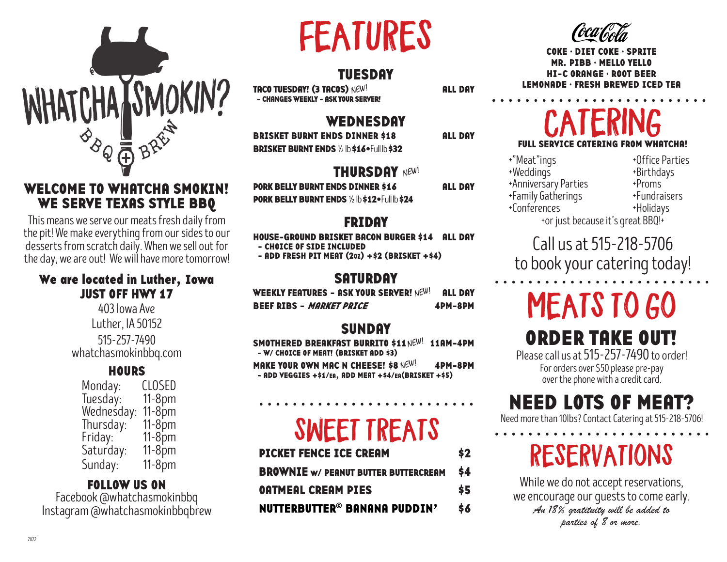

#### WELCOME TO WHATCHA SMOKIN! WE SERVE TEXAS STYLE BBQ

This means we serve our meats fresh daily from the pit! We make everything from our sides to our desserts from scratch daily. When we sell out for the day, we are out! We will have more tomorrow!

#### We are located in Luther, Iowa JUST OFF HWY 17

403 Iowa Ave Luther, IA 50152 515-257-7490 whatchasmokinbbq.com

#### **HOURS**

| Monday:    | CLOSED    |
|------------|-----------|
| Tuesday:   | $11-8pm$  |
| Wednesday: | $11-8$ pm |
| Thursday:  | $11-8$ pm |
| Friday:    | $11-8$ pm |
| Saturday:  | $11-8$ pm |
| Sunday:    | $11-8pm$  |

#### FOLLOW US ON

Facebook @whatchasmokinbbq Instagram @whatchasmokinbbqbrew

# FEATURES

#### TUESDAY

TACO TUESDAY! (3 TACOS) ALL DAY NEW! - CHANGES WEEKLY - ASK YOUR SERVER!

#### **WEDNESDAY**

BRISKET BURNT ENDS DINNER \$18 ALL DAY BRISKET BURNT ENDS 1/2 lb \$16•Full lb \$32

#### THURSDAY NEW!

PORK BELLY BURNT ENDS DINNER \$16 ALL DAY PORK BELLY BURNT ENDS 1/2 lb \$12•Full lb \$24

#### FRIDAY

HOUSE-GROUND BRISKET BACON BURGER \$14 ALL DAY

- CHOICE OF SIDE INCLUDED

 $-$  ADD FRESH PIT MEAT (20Z)  $+$ \$2 (BRISKET  $+$ \$4)

#### SATURDAY

WEEKLY FEATURES – ASK YOUR SERVER!  $\mathsf{NEW}^1$  all day BEEF RIBS - *MARKET PRICE* 4PM-8PM

#### SUNDAY

SMOTHERED BREAKFAST BURRITO \$11 NEW! 11AM-4PM - W/ CHOICE OF MEAT! (BRISKET ADD \$3)

MAKE YOUR OWN MAC N CHEESE! \$8  $N \in W^{\frac{1}{2}}$  4PM-8PM - ADD VEGGIES +\$1/EA, ADD MEAT +\$4/EA(BRISKET +\$5)

# SWEET TREATS

| <b>PICKET FENCE ICE CREAM</b>               | \$2 |
|---------------------------------------------|-----|
| <b>BROWNIE</b> w/ PEANUT BUTTER BUTTERCREAM |     |
| <b>OATMEAL CREAM PIES</b>                   |     |
| NUTTERBUTTER <sup>®</sup> BANANA PUDDIN'    | \$6 |



COKE • DIET COKE • SPRITE MR. PIBB • MELLO YELLO HI-C ORANGE • ROOT BEER LEMONADE • FRESH BREWED ICED TEA

### **CATERING** FULL SERVICE CATERING FROM WHATCHA!

+"Meat"ings +0ffice Parties +Weddings +Birthdays +Anniversary Parties +Proms<br>+Family Gatherings +Fundraisers +Family Gatherings<br>+Conferences +Holidays +Conferences +or just because it's great BBQ!+

### Call us at 515-218-5706 to book your catering today!

# MEATS TO GO

### ORDER TAKE OUT!

Please call us at 515-257-7490 to order! For orders over \$50 please pre-pay over the phone with a credit card.

### NEED LOTS OF MEAT?

Need more than 10lbs? Contact Catering at 515-218-5706!

# RESERVATIONS

While we do not accept reservations, we encourage our guests to come early. *An 18% gratituity will be added to parties of 8 or more.*